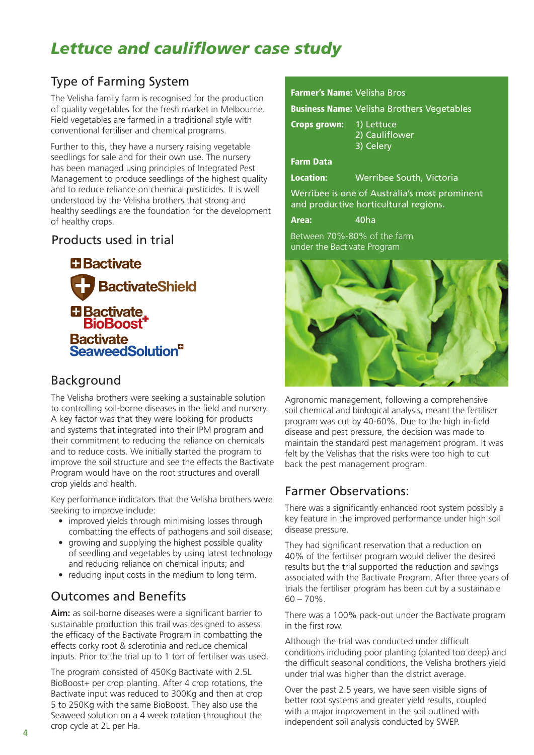# *Lettuce and cauliflower case study*

## Type of Farming System

The Velisha family farm is recognised for the production of quality vegetables for the fresh market in Melbourne. Field vegetables are farmed in a traditional style with conventional fertiliser and chemical programs.

Further to this, they have a nursery raising vegetable seedlings for sale and for their own use. The nursery has been managed using principles of Integrated Pest Management to produce seedlings of the highest quality and to reduce reliance on chemical pesticides. It is well understood by the Velisha brothers that strong and healthy seedlings are the foundation for the development of healthy crops.

#### Products used in trial

**El Bactivate BactivateShield** El Bactivate<br>BioBoost<sup>+</sup> Bactivate<br>SeaweedSolution<sup>9</sup>

#### Background

The Velisha brothers were seeking a sustainable solution to controlling soil-borne diseases in the field and nursery. A key factor was that they were looking for products and systems that integrated into their IPM program and their commitment to reducing the reliance on chemicals and to reduce costs. We initially started the program to improve the soil structure and see the effects the Bactivate Program would have on the root structures and overall crop yields and health.

Key performance indicators that the Velisha brothers were seeking to improve include:

- improved yields through minimising losses through combatting the effects of pathogens and soil disease;
- growing and supplying the highest possible quality of seedling and vegetables by using latest technology and reducing reliance on chemical inputs; and
- reducing input costs in the medium to long term.

### Outcomes and Benefits

**Aim:** as soil-borne diseases were a significant barrier to sustainable production this trail was designed to assess the efficacy of the Bactivate Program in combatting the effects corky root & sclerotinia and reduce chemical inputs. Prior to the trial up to 1 ton of fertiliser was used.

The program consisted of 450Kg Bactivate with 2.5L BioBoost+ per crop planting. After 4 crop rotations, the Bactivate input was reduced to 300Kg and then at crop 5 to 250Kg with the same BioBoost. They also use the Seaweed solution on a 4 week rotation throughout the crop cycle at 2L per Ha.

#### Farmer's Name: Velisha Bros

Business Name: Velisha Brothers Vegetables

| <b>Crops grown:</b> | 1) Lettuce<br>2) Cauliflower<br>3) Celery                                              |
|---------------------|----------------------------------------------------------------------------------------|
| <b>Farm Data</b>    |                                                                                        |
| <b>Location:</b>    | Werribee South, Victoria                                                               |
|                     | Werribee is one of Australia's most prominent<br>and productive horticultural regions. |

Area: 40ha

Between 70%-80% of the farm under the Bactivate Program



Agronomic management, following a comprehensive soil chemical and biological analysis, meant the fertiliser program was cut by 40-60%. Due to the high in-field disease and pest pressure, the decision was made to maintain the standard pest management program. It was felt by the Velishas that the risks were too high to cut back the pest management program.

#### Farmer Observations:

There was a significantly enhanced root system possibly a key feature in the improved performance under high soil disease pressure.

They had significant reservation that a reduction on 40% of the fertiliser program would deliver the desired results but the trial supported the reduction and savings associated with the Bactivate Program. After three years of trials the fertiliser program has been cut by a sustainable  $60 - 70\%$ .

There was a 100% pack-out under the Bactivate program in the first row.

Although the trial was conducted under difficult conditions including poor planting (planted too deep) and the difficult seasonal conditions, the Velisha brothers yield under trial was higher than the district average.

Over the past 2.5 years, we have seen visible signs of better root systems and greater yield results, coupled with a major improvement in the soil outlined with independent soil analysis conducted by SWEP.